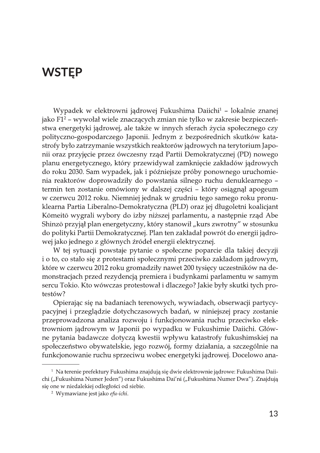# **WSTEP**

Wypadek w elektrowni jądrowej Fukushima Daiichi<sup>1</sup> – lokalnie znanej jako F1<sup>2</sup> – wywołał wiele znaczących zmian nie tylko w zakresie bezpieczeństwa energetyki jądrowej, ale także w innych sferach życia społecznego czy polityczno-gospodarczego Japonii. Jednym z bezpośrednich skutków katastrofy było zatrzymanie wszystkich reaktorów jądrowych na terytorium Japonii oraz przyjęcie przez ówczesny rząd Partii Demokratycznej (PD) nowego planu energetycznego, który przewidywał zamknięcie zakładów jądrowych do roku 2030. Sam wypadek, jak i późniejsze próby ponownego uruchomienia reaktorów doprowadziły do powstania silnego ruchu denuklearnego termin ten zostanie omówiony w dalszej części – który osiągnął apogeum w czerwcu 2012 roku. Niemniej jednak w grudniu tego samego roku pronuklearna Partia Liberalno-Demokratyczna (PLD) oraz jej długoletni koalicjant Kōmeitō wygrali wybory do izby niższej parlamentu, a następnie rząd Abe Shinzō przyjął plan energetyczny, który stanowił "kurs zwrotny" w stosunku do polityki Partii Demokratycznej. Plan ten zakładał powrót do energii jądrowej jako jednego z głównych źródeł energii elektrycznej.

W tej sytuacji powstaje pytanie o społeczne poparcie dla takiej decyzji i o to, co stało się z protestami społecznymi przeciwko zakładom jądrowym, które w czerwcu 2012 roku gromadziły nawet 200 tysięcy uczestników na demonstracjach przed rezydencją premiera i budynkami parlamentu w samym sercu Tokio. Kto wówczas protestował i dlaczego? Jakie były skutki tych protestów?

Opierając się na badaniach terenowych, wywiadach, obserwacji partycypacyjnej i przeglądzie dotychczasowych badań, w niniejszej pracy zostanie przeprowadzona analiza rozwoju i funkcjonowania ruchu przeciwko elektrowniom jądrowym w Japonii po wypadku w Fukushimie Daiichi. Główne pytania badawcze dotyczą kwestii wpływu katastrofy fukushimskiej na społeczeństwo obywatelskie, jego rozwój, formy działania, a szczególnie na funkcjonowanie ruchu sprzeciwu wobec energetyki jądrowej. Docelowo ana-

<sup>&</sup>lt;sup>1</sup> Na terenie prefektury Fukushima znajdują się dwie elektrownie jądrowe: Fukushima Daiichi ("Fukushima Numer Jeden") oraz Fukushima Dai'ni ("Fukushima Numer Dwa"). Znajdują się one w niedalekiej odległości od siebie.

<sup>&</sup>lt;sup>2</sup> Wymawiane jest jako efu-ichi.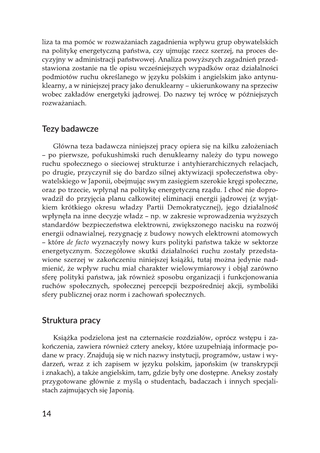liza ta ma pomóc w rozważaniach zagadnienia wpływu grup obywatelskich na politykę energetyczną państwa, czy ujmując rzecz szerzej, na proces decyzyjny w administracji państwowej. Analiza powyższych zagadnień przedstawiona zostanie na tle opisu wcześniejszych wypadków oraz działalności podmiotów ruchu określanego w języku polskim i angielskim jako antynuklearny, a w niniejszej pracy jako denuklearny – ukierunkowany na sprzeciw wobec zakładów energetyki jądrowej. Do nazwy tej wrócę w późniejszych rozważaniach.

## **Tezy badawcze**

Główna teza badawcza niniejszej pracy opiera się na kilku założeniach - po pierwsze, pofukushimski ruch denuklearny należy do typu nowego ruchu społecznego o sieciowej strukturze i antyhierarchicznych relacjach, po drugie, przyczynił się do bardzo silnej aktywizacji społeczeństwa obywatelskiego w Japonii, obejmując swym zasięgiem szerokie kręgi społeczne, oraz po trzecie, wpłynął na politykę energetyczną rządu. I choć nie doprowadził do przyjęcia planu całkowitej eliminacji energii jądrowej (z wyjątkiem krótkiego okresu władzy Partii Demokratycznej), jego działalność wpłynęła na inne decyzje władz – np. w zakresie wprowadzenia wyższych standardów bezpieczeństwa elektrowni, zwiększonego nacisku na rozwój energii odnawialnej, rezygnację z budowy nowych elektrowni atomowych – które de facto wyznaczyły nowy kurs polityki państwa także w sektorze energetycznym. Szczegółowe skutki działalności ruchu zostały przedstawione szerzej w zakończeniu niniejszej książki, tutaj można jedynie nadmienić, że wpływ ruchu miał charakter wielowymiarowy i objął zarówno sferę polityki państwa, jak również sposobu organizacji i funkcjonowania ruchów społecznych, społecznej percepcji bezpośredniej akcji, symboliki sfery publicznej oraz norm i zachowań społecznych.

### Struktura pracy

Książka podzielona jest na czternaście rozdziałów, oprócz wstępu i zakończenia, zawiera również cztery aneksy, które uzupełniają informacje podane w pracy. Znajdują się w nich nazwy instytucji, programów, ustaw i wydarzeń, wraz z ich zapisem w języku polskim, japońskim (w transkrypcji i znakach), a także angielskim, tam, gdzie były one dostępne. Aneksy zostały przygotowane głównie z myślą o studentach, badaczach i innych specjalistach zajmujących się Japonią.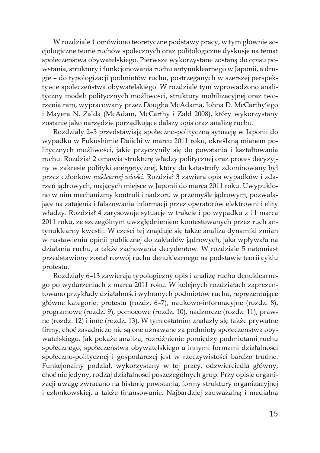W rozdziale 1 omówiono teoretyczne podstawy pracy, w tym głównie socjologiczne teorie ruchów społecznych oraz politologiczne dyskusje na temat społeczeństwa obywatelskiego. Pierwsze wykorzystane zostaną do opisu powstania, struktury i funkcjonowania ruchu antynuklearnego w Japonii, a drugie – do typologizacji podmiotów ruchu, postrzeganych w szerszej perspektywie społeczeństwa obywatelskiego. W rozdziale tym wprowadzono analityczny model: politycznych możliwości, struktury mobilizacyjnej oraz tworzenia ram, wypracowany przez Dougha McAdama, Johna D. McCarthy'ego i Mayera N. Zalda (McAdam, McCarthy i Zald 2008), który wykorzystany zostanie jako narzędzie porządkujące dalszy opis oraz analizę ruchu.

Rozdziały 2-5 przedstawiają społeczno-polityczną sytuację w Japonii do wypadku w Fukushimie Daiichi w marcu 2011 roku, określaną mianem politycznych możliwości, jakie przyczyniły się do powstania i kształtowania ruchu. Rozdział 2 omawia strukturę władzy politycznej oraz proces decyzyjny w zakresie polityki energetycznej, który do katastrofy zdominowany był przez członków nuklearnej wioski. Rozdział 3 zawiera opis wypadków i zdarzeń jądrowych, mających miejsce w Japonii do marca 2011 roku. Uwypuklono w nim mechanizmy kontroli i nadzoru w przemyśle jądrowym, pozwalające na zatajenia i fałszowania informacji przez operatorów elektrowni i elity władzy. Rozdział 4 zarysowuje sytuację w trakcie i po wypadku z 11 marca 2011 roku, ze szczególnym uwzględnieniem kontestowanych przez ruch antynuklearny kwestii. W części tej znajduje się także analiza dynamiki zmian w nastawieniu opinii publicznej do zakładów jądrowych, jaka wpływała na działania ruchu, a także zachowania decydentów. W rozdziale 5 natomiast przedstawiony został rozwój ruchu denuklearnego na podstawie teorii cyklu protestu.

Rozdziały 6-13 zawierają typologiczny opis i analizę ruchu denuklearnego po wydarzeniach z marca 2011 roku. W kolejnych rozdziałach zaprezentowano przykłady działalności wybranych podmiotów ruchu, reprezentujące główne kategorie: protestu (rozdz. 6–7), naukowo-informacyjne (rozdz. 8), programowe (rozdz. 9), pomocowe (rozdz. 10), nadzorcze (rozdz. 11), prawne (rozdz. 12) i inne (rozdz. 13). W tym ostatnim znalazły się także prywatne firmy, choć zasadniczo nie są one uznawane za podmioty społeczeństwa obywatelskiego. Jak pokaże analiza, rozróżnienie pomiędzy podmiotami ruchu społecznego, społeczeństwa obywatelskiego a innymi formami działalności społeczno-politycznej i gospodarczej jest w rzeczywistości bardzo trudne. Funkcjonalny podział, wykorzystany w tej pracy, odzwierciedla główny, choć nie jedyny, rodzaj działalności poszczególnych grup. Przy opisie organizacji uwagę zwracano na historię powstania, formy struktury organizacyjnej i członkowskiej, a także finansowanie. Najbardziej zauważalną i medialną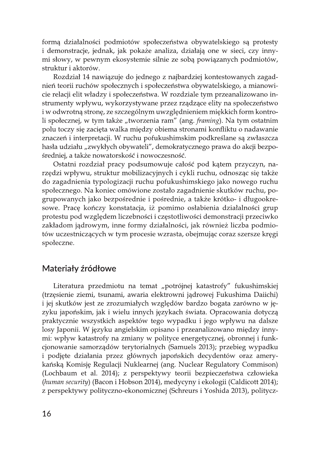formą działalności podmiotów społeczeństwa obywatelskiego są protesty i demonstracje, jednak, jak pokaże analiza, działają one w sieci, czy innymi słowy, w pewnym ekosystemie silnie ze sobą powiązanych podmiotów, struktur i aktorów.

Rozdział 14 nawiązuje do jednego z najbardziej kontestowanych zagadnień teorii ruchów społecznych i społeczeństwa obywatelskiego, a mianowicie relacji elit władzy i społeczeństwa. W rozdziale tym przeanalizowano instrumenty wpływu, wykorzystywane przez rządzące elity na społeczeństwo i w odwrotną stronę, ze szczególnym uwzględnieniem miękkich form kontroli społecznej, w tym także "tworzenia ram" (ang. framing). Na tym ostatnim polu toczy się zacięta walka między obiema stronami konfliktu o nadawanie znaczeń i interpretacji. W ruchu pofukushimskim podkreślane są zwłaszcza hasła udziału "zwykłych obywateli", demokratycznego prawa do akcji bezpośredniej, a także nowatorskość i nowoczesność.

Ostatni rozdział pracy podsumowuje całość pod kątem przyczyn, narzędzi wpływu, struktur mobilizacyjnych i cykli ruchu, odnosząc się także do zagadnienia typologizacji ruchu pofukushimskiego jako nowego ruchu społecznego. Na koniec omówione zostało zagadnienie skutków ruchu, pogrupowanych jako bezpośrednie i pośrednie, a także krótko- i długookresowe. Pracę kończy konstatacja, iż pomimo osłabienia działalności grup protestu pod względem liczebności i częstotliwości demonstracji przeciwko zakładom jądrowym, inne formy działalności, jak również liczba podmiotów uczestniczących w tym procesie wzrasta, obejmując coraz szersze kręgi społeczne.

### Materiały źródłowe

Literatura przedmiotu na temat "potrójnej katastrofy" fukushimskiej (trzęsienie ziemi, tsunami, awaria elektrowni jądrowej Fukushima Daiichi) i jej skutków jest ze zrozumiałych względów bardzo bogata zarówno w języku japońskim, jak i wielu innych językach świata. Opracowania dotyczą praktycznie wszystkich aspektów tego wypadku i jego wpływu na dalsze losy Japonii. W języku angielskim opisano i przeanalizowano między innymi: wpływ katastrofy na zmiany w polityce energetycznej, obronnej i funkcjonowanie samorządów terytorialnych (Samuels 2013); przebieg wypadku i podjęte działania przez głównych japońskich decydentów oraz amerykańską Komisję Regulacji Nuklearnej (ang. Nuclear Regulatory Commison) (Lochbaum et al. 2014); z perspektywy teorii bezpieczeństwa człowieka (human security) (Bacon i Hobson 2014), medycyny i ekologii (Caldicott 2014); z perspektywy polityczno-ekonomicznej (Schreurs i Yoshida 2013), politycz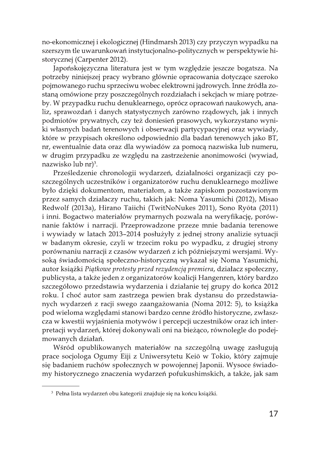no-ekonomicznej i ekologicznej (Hindmarsh 2013) czy przyczyn wypadku na szerszym tle uwarunkowań instytucjonalno-politycznych w perspektywie historycznej (Carpenter 2012).

Japońskojęzyczna literatura jest w tym względzie jeszcze bogatsza. Na potrzeby niniejszej pracy wybrano głównie opracowania dotyczące szeroko pojmowanego ruchu sprzeciwu wobec elektrowni jądrowych. Inne źródła zostaną omówione przy poszczególnych rozdziałach i sekcjach w miarę potrzeby. W przypadku ruchu denuklearnego, oprócz opracowań naukowych, analiz, sprawozdań i danych statystycznych zarówno rządowych, jak i innych podmiotów prywatnych, czy też doniesień prasowych, wykorzystano wyniki własnych badań terenowych i obserwacji partycypacyjnej oraz wywiady, które w przypisach określono odpowiednio dla badań terenowych jako BT, nr, ewentualnie data oraz dla wywiadów za pomocą nazwiska lub numeru, w drugim przypadku ze względu na zastrzeżenie anonimowości (wywiad, nazwisko lub nr)<sup>3</sup>.

Prześledzenie chronologii wydarzeń, działalności organizacji czy poszczególnych uczestników i organizatorów ruchu denuklearnego możliwe było dzięki dokumentom, materiałom, a także zapiskom pozostawionym przez samych działaczy ruchu, takich jak: Noma Yasumichi (2012), Misao Redwolf (2013a), Hirano Taiichi (TwitNoNukes 2011), Sono Ryōta (2011) i inni. Bogactwo materiałów prymarnych pozwala na weryfikację, porównanie faktów i narracji. Przeprowadzone przeze mnie badania terenowe i wywiady w latach 2013–2014 posłużyły z jednej strony analizie sytuacji w badanym okresie, czyli w trzecim roku po wypadku, z drugiej strony porównaniu narracji z czasów wydarzeń z ich późniejszymi wersjami. Wysoką świadomością społeczno-historyczną wykazał się Noma Yasumichi, autor książki Piątkowe protesty przed rezydencją premiera, działacz społeczny, publicysta, a także jeden z organizatorów koalicji Hangenren, który bardzo szczegółowo przedstawia wydarzenia i działanie tej grupy do końca 2012 roku. I choć autor sam zastrzega pewien brak dystansu do przedstawianych wydarzeń z racji swego zaangażowania (Noma 2012: 5), to książka pod wieloma względami stanowi bardzo cenne źródło historyczne, zwłaszcza w kwestii wyjaśnienia motywów i percepcji uczestników oraz ich interpretacji wydarzeń, której dokonywali oni na bieżąco, równolegle do podejmowanych działań.

Wśród opublikowanych materiałów na szczególną uwagę zasługują prace socjologa Ogumy Eiji z Uniwersytetu Keiō w Tokio, który zajmuje się badaniem ruchów społecznych w powojennej Japonii. Wysoce świadomy historycznego znaczenia wydarzeń pofukushimskich, a także, jak sam

<sup>&</sup>lt;sup>3</sup> Pełna lista wydarzeń obu kategorii znajduje się na końcu książki.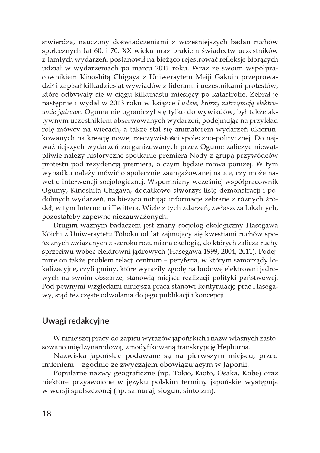stwierdza, nauczony doświadczeniami z wcześniejszych badań ruchów społecznych lat 60. i 70. XX wieku oraz brakiem świadectw uczestników z tamtych wydarzeń, postanowił na bieżąco rejestrować refleksje biorących udział w wydarzeniach po marcu 2011 roku. Wraz ze swoim współpracownikiem Kinoshitą Chigaya z Uniwersytetu Meiji Gakuin przeprowadził i zapisał kilkadziesiąt wywiadów z liderami i uczestnikami protestów, które odbywały się w ciągu kilkunastu miesięcy po katastrofie. Zebrał je następnie i wydał w 2013 roku w książce Ludzie, którzy zatrzymają elektro*wnie jądrowe*. Oguma nie ograniczył się tylko do wywiadów, był także aktywnym uczestnikiem obserwowanych wydarzeń, podejmując na przykład rolę mówcy na wiecach, a także stał się animatorem wydarzeń ukierunkowanych na kreację nowej rzeczywistości społeczno-politycznej. Do najważniejszych wydarzeń zorganizowanych przez Ogumę zaliczyć niewątpliwie należy historyczne spotkanie premiera Nody z grupą przywódców protestu pod rezydencją premiera, o czym będzie mowa poniżej. W tym wypadku należy mówić o społecznie zaangażowanej nauce, czy może nawet o interwencji socjologicznej. Wspomniany wcześniej współpracownik Ogumy, Kinoshita Chigaya, dodatkowo stworzył listę demonstracji i podobnych wydarzeń, na bieżąco notując informacje zebrane z różnych źródeł, w tym Internetu i Twittera. Wiele z tych zdarzeń, zwłaszcza lokalnych, pozostałoby zapewne niezauważonych.

Drugim ważnym badaczem jest znany socjolog ekologiczny Hasegawa Kōichi z Uniwersytetu Tōhoku od lat zajmujący się kwestiami ruchów społecznych związanych z szeroko rozumianą ekologią, do których zalicza ruchy sprzeciwu wobec elektrowni jądrowych (Hasegawa 1999, 2004, 2011). Podejmuje on także problem relacji centrum – peryferia, w którym samorządy lokalizacyjne, czyli gminy, które wyraziły zgodę na budowę elektrowni jądrowych na swoim obszarze, stanowią miejsce realizacji polityki państwowej. Pod pewnymi względami niniejsza praca stanowi kontynuację prac Hasegawy, stąd też częste odwołania do jego publikacji i koncepcji.

### Uwagi redakcyjne

W niniejszej pracy do zapisu wyrazów japońskich i nazw własnych zastosowano międzynarodową, zmodyfikowaną transkrypcję Hepburna.

Nazwiska japońskie podawane są na pierwszym miejscu, przed imieniem – zgodnie ze zwyczajem obowiązującym w Japonii.

Popularne nazwy geograficzne (np. Tokio, Kioto, Osaka, Kobe) oraz niektóre przyswojone w języku polskim terminy japońskie występują w wersji spolszczonej (np. samuraj, siogun, sintoizm).